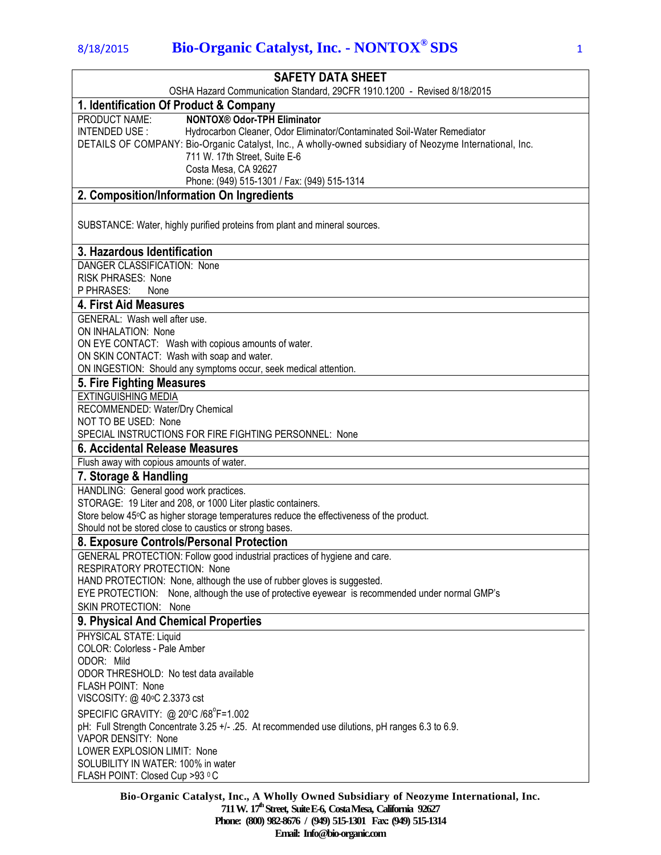| <b>SAFETY DATA SHEET</b>                                                                                               |
|------------------------------------------------------------------------------------------------------------------------|
| OSHA Hazard Communication Standard, 29CFR 1910.1200 - Revised 8/18/2015                                                |
| 1. Identification Of Product & Company                                                                                 |
| PRODUCT NAME:<br><b>NONTOX® Odor-TPH Eliminator</b>                                                                    |
| INTENDED USE:<br>Hydrocarbon Cleaner, Odor Eliminator/Contaminated Soil-Water Remediator                               |
| DETAILS OF COMPANY: Bio-Organic Catalyst, Inc., A wholly-owned subsidiary of Neozyme International, Inc.               |
| 711 W. 17th Street, Suite E-6                                                                                          |
| Costa Mesa, CA 92627<br>Phone: (949) 515-1301 / Fax: (949) 515-1314                                                    |
| 2. Composition/Information On Ingredients                                                                              |
|                                                                                                                        |
| SUBSTANCE: Water, highly purified proteins from plant and mineral sources.                                             |
|                                                                                                                        |
| 3. Hazardous Identification                                                                                            |
| DANGER CLASSIFICATION: None                                                                                            |
| <b>RISK PHRASES: None</b>                                                                                              |
| P PHRASES:<br>None                                                                                                     |
| 4. First Aid Measures                                                                                                  |
| <b>GENERAL: Wash well after use.</b>                                                                                   |
| ON INHALATION: None                                                                                                    |
| ON EYE CONTACT: Wash with copious amounts of water.                                                                    |
| ON SKIN CONTACT: Wash with soap and water.                                                                             |
| ON INGESTION: Should any symptoms occur, seek medical attention.                                                       |
| 5. Fire Fighting Measures                                                                                              |
| <b>EXTINGUISHING MEDIA</b>                                                                                             |
| RECOMMENDED: Water/Dry Chemical                                                                                        |
| NOT TO BE USED: None                                                                                                   |
| SPECIAL INSTRUCTIONS FOR FIRE FIGHTING PERSONNEL: None                                                                 |
| 6. Accidental Release Measures                                                                                         |
| Flush away with copious amounts of water.                                                                              |
| 7. Storage & Handling                                                                                                  |
| HANDLING: General good work practices.                                                                                 |
| STORAGE: 19 Liter and 208, or 1000 Liter plastic containers.                                                           |
| Store below 45°C as higher storage temperatures reduce the effectiveness of the product.                               |
| Should not be stored close to caustics or strong bases.                                                                |
| 8. Exposure Controls/Personal Protection                                                                               |
| GENERAL PROTECTION: Follow good industrial practices of hygiene and care.                                              |
| RESPIRATORY PROTECTION: None                                                                                           |
| HAND PROTECTION: None, although the use of rubber gloves is suggested.                                                 |
| EYE PROTECTION: None, although the use of protective eyewear is recommended under normal GMP's                         |
| SKIN PROTECTION: None                                                                                                  |
| 9. Physical And Chemical Properties                                                                                    |
| PHYSICAL STATE: Liquid                                                                                                 |
| COLOR: Colorless - Pale Amber                                                                                          |
| ODOR: Mild<br>ODOR THRESHOLD: No test data available                                                                   |
| <b>FLASH POINT: None</b>                                                                                               |
| VISCOSITY: @ 40°C 2.3373 cst                                                                                           |
|                                                                                                                        |
| SPECIFIC GRAVITY: @ 20°C /68°F=1.002                                                                                   |
| pH: Full Strength Concentrate 3.25 +/- .25. At recommended use dilutions, pH ranges 6.3 to 6.9.<br>VAPOR DENSITY: None |
| LOWER EXPLOSION LIMIT: None                                                                                            |
| SOLUBILITY IN WATER: 100% in water                                                                                     |
| FLASH POINT: Closed Cup >93 °C                                                                                         |
|                                                                                                                        |

**Bio-Organic Catalyst, Inc., A Wholly Owned Subsidiary of Neozyme International, Inc. 711 W. 17th Street, SuiteE-6, CostaMesa, California 92627 Phone: (800) 982-8676 / (949) 515-1301 Fax: (949) 515-1314 Email: Info@bio-organic.com**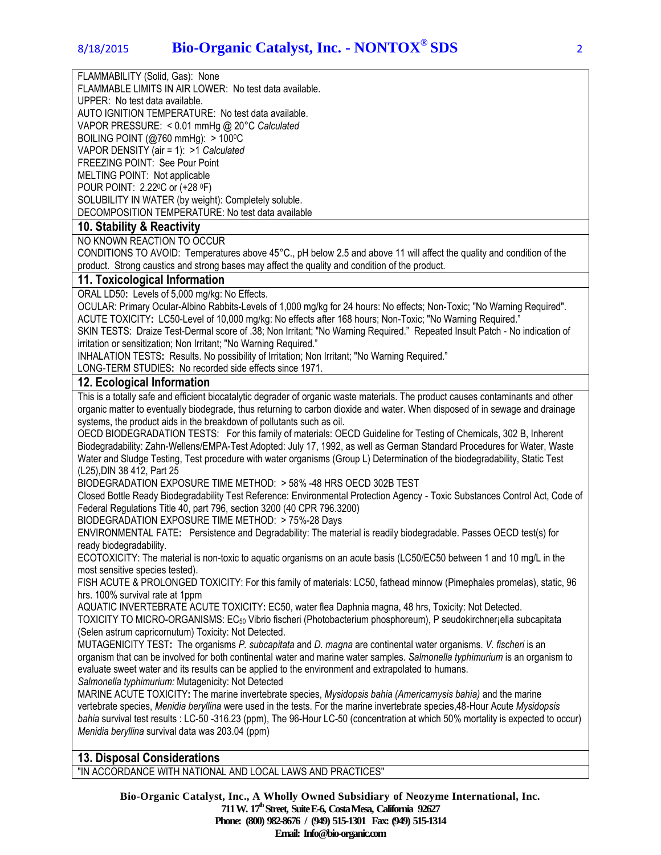FLAMMABILITY (Solid, Gas): None

FLAMMABLE LIMITS IN AIR LOWER: No test data available.

UPPER: No test data available.

AUTO IGNITION TEMPERATURE: No test data available.

VAPOR PRESSURE: < 0.01 mmHg @ 20°C *Calculated*

BOILING POINT ( $@760$  mmHg):  $>100$ <sup>o</sup>C

VAPOR DENSITY (air = 1): >1 *Calculated* FREEZING POINT: See Pour Point

MELTING POINT: Not applicable

POUR POINT: 2.220C or (+28 <sup>0</sup>F)

SOLUBILITY IN WATER (by weight): Completely soluble. DECOMPOSITION TEMPERATURE: No test data available

## **10. Stability & Reactivity**

NO KNOWN REACTION TO OCCUR

CONDITIONS TO AVOID: Temperatures above 45°C., pH below 2.5 and above 11 will affect the quality and condition of the product. Strong caustics and strong bases may affect the quality and condition of the product.

### **11. Toxicological Information**

ORAL LD50**:** Levels of 5,000 mg/kg: No Effects.

OCULAR: Primary Ocular-Albino Rabbits-Levels of 1,000 mg/kg for 24 hours: No effects; Non-Toxic; "No Warning Required". ACUTE TOXICITY**:** LC50-Level of 10,000 mg/kg: No effects after 168 hours; Non-Toxic; "No Warning Required."

SKIN TESTS: Draize Test-Dermal score of .38; Non Irritant; "No Warning Required." Repeated Insult Patch - No indication of irritation or sensitization; Non Irritant; "No Warning Required."

INHALATION TESTS**:** Results. No possibility of Irritation; Non Irritant; "No Warning Required."

LONG-TERM STUDIES**:** No recorded side effects since 1971.

## **12. Ecological Information**

This is a totally safe and efficient biocatalytic degrader of organic waste materials. The product causes contaminants and other organic matter to eventually biodegrade, thus returning to carbon dioxide and water. When disposed of in sewage and drainage systems, the product aids in the breakdown of pollutants such as oil.

OECD BIODEGRADATION TESTS: For this family of materials: OECD Guideline for Testing of Chemicals, 302 B, Inherent Biodegradability: Zahn-Wellens/EMPA-Test Adopted: July 17, 1992, as well as German Standard Procedures for Water, Waste Water and Sludge Testing, Test procedure with water organisms (Group L) Determination of the biodegradability, Static Test (L25),DIN 38 412, Part 25

BIODEGRADATION EXPOSURE TIME METHOD: > 58% -48 HRS OECD 302B TEST

Closed Bottle Ready Biodegradability Test Reference: Environmental Protection Agency - Toxic Substances Control Act, Code of Federal Regulations Title 40, part 796, section 3200 (40 CPR 796.3200)

BIODEGRADATION EXPOSURE TIME METHOD: > 75%-28 Days

ENVIRONMENTAL FATE**:** Persistence and Degradability: The material is readily biodegradable. Passes OECD test(s) for ready biodegradability.

ECOTOXICITY: The material is non-toxic to aquatic organisms on an acute basis (LC50/EC50 between 1 and 10 mg/L in the most sensitive species tested).

FISH ACUTE & PROLONGED TOXICITY: For this family of materials: LC50, fathead minnow (Pimephales promelas), static, 96 hrs. 100% survival rate at 1ppm

AQUATIC INVERTEBRATE ACUTE TOXICITY**:** EC50, water flea Daphnia magna, 48 hrs, Toxicity: Not Detected. TOXICITY TO MICRO-ORGANISMS: EC<sup>50</sup> Vibrio fischeri (Photobacterium phosphoreum), P seudokirchner¡ella subcapitata (Selen astrum capricornutum) Toxicity: Not Detected.

MUTAGENICITY TEST**:** The organisms *P. subcapitata* and *D. magna* are continental water organisms. *V. fischeri* is an organism that can be involved for both continental water and marine water samples. *Salmonella typhimurium* is an organism to evaluate sweet water and its results can be applied to the environment and extrapolated to humans.

*Salmonella typhimurium:* Mutagenicity: Not Detected

MARINE ACUTE TOXICITY**:** The marine invertebrate species, *Mysidopsis bahia (Americamysis bahia)* and the marine vertebrate species, *Menidia beryllina* were used in the tests. For the marine invertebrate species,48-Hour Acute *Mysidopsis bahia* survival test results : LC-50 -316.23 (ppm), The 96-Hour LC-50 (concentration at which 50% mortality is expected to occur) *Menidia beryllina* survival data was 203.04 (ppm)

# **13. Disposal Considerations**

"IN ACCORDANCE WITH NATIONAL AND LOCAL LAWS AND PRACTICES"

**Bio-Organic Catalyst, Inc., A Wholly Owned Subsidiary of Neozyme International, Inc. 711 W. 17th Street, SuiteE-6, CostaMesa, California 92627 Phone: (800) 982-8676 / (949) 515-1301 Fax: (949) 515-1314 Email: Info@bio-organic.com**